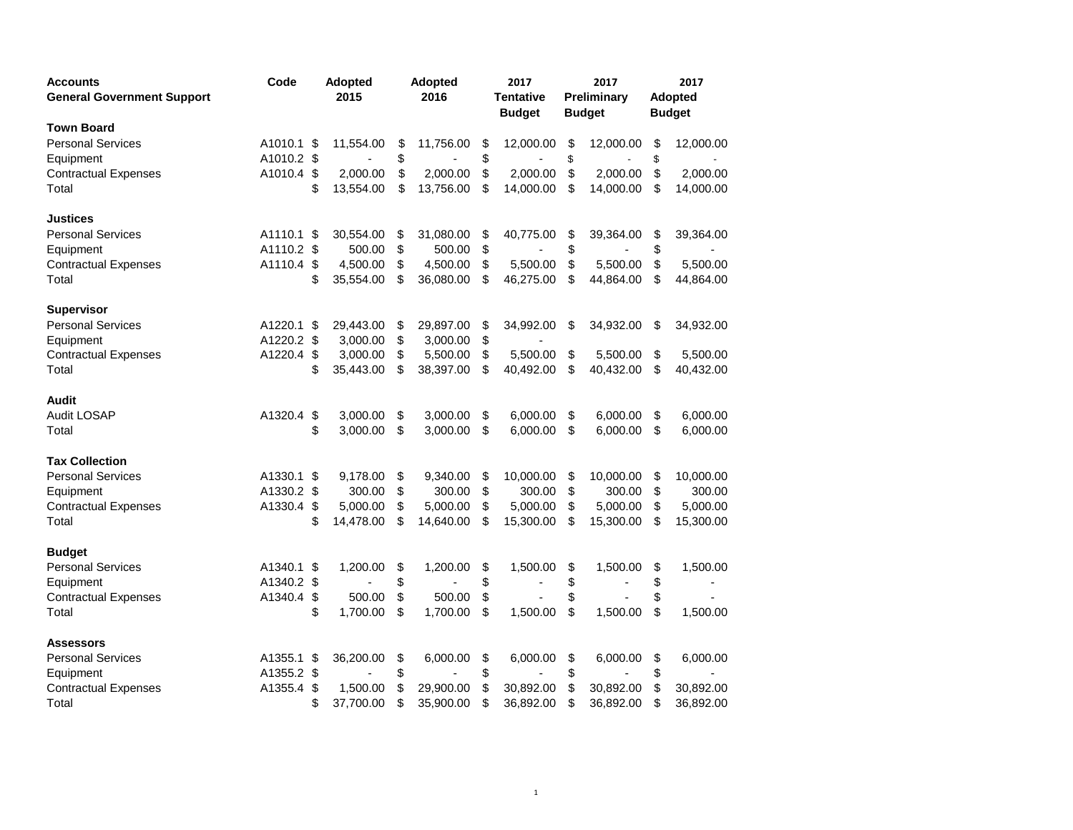| <b>Accounts</b><br><b>General Government Support</b> | Code       |     | <b>Adopted</b><br>2015 |    | <b>Adopted</b><br>2016 | 2017<br><b>Tentative</b><br><b>Budget</b> |           | 2017<br>Preliminary<br><b>Budget</b> |           | 2017<br>Adopted<br><b>Budget</b> |           |
|------------------------------------------------------|------------|-----|------------------------|----|------------------------|-------------------------------------------|-----------|--------------------------------------|-----------|----------------------------------|-----------|
| <b>Town Board</b>                                    |            |     |                        |    |                        |                                           |           |                                      |           |                                  |           |
| <b>Personal Services</b>                             | A1010.1    | \$  | 11,554.00              | \$ | 11,756.00              | \$                                        | 12,000.00 | \$                                   | 12,000.00 | \$                               | 12,000.00 |
| Equipment                                            | A1010.2 \$ |     |                        | \$ |                        | \$                                        |           | \$                                   |           | \$                               |           |
| <b>Contractual Expenses</b>                          | A1010.4    | \$  | 2,000.00               | \$ | 2,000.00               | \$                                        | 2,000.00  | \$                                   | 2,000.00  | \$                               | 2,000.00  |
| Total                                                |            | \$  | 13,554.00              | \$ | 13,756.00              | \$                                        | 14,000.00 | \$                                   | 14,000.00 | \$                               | 14,000.00 |
| Justices                                             |            |     |                        |    |                        |                                           |           |                                      |           |                                  |           |
| <b>Personal Services</b>                             | A1110.1    | \$  | 30,554.00              | \$ | 31,080.00              | \$                                        | 40,775.00 | \$                                   | 39,364.00 | \$                               | 39,364.00 |
| Equipment                                            | A1110.2 \$ |     | 500.00                 | \$ | 500.00                 | \$                                        |           | \$                                   |           | \$                               |           |
| <b>Contractual Expenses</b>                          | A1110.4    | \$  | 4,500.00               | \$ | 4,500.00               | \$                                        | 5,500.00  | \$                                   | 5,500.00  | \$                               | 5,500.00  |
| Total                                                |            | \$  | 35,554.00              | \$ | 36,080.00              | \$                                        | 46,275.00 | \$                                   | 44,864.00 | \$                               | 44,864.00 |
| <b>Supervisor</b>                                    |            |     |                        |    |                        |                                           |           |                                      |           |                                  |           |
| <b>Personal Services</b>                             | A1220.1 \$ |     | 29,443.00              | \$ | 29,897.00              | \$                                        | 34,992.00 | \$                                   | 34,932.00 | \$                               | 34,932.00 |
| Equipment                                            | A1220.2    | \$  | 3,000.00               | \$ | 3,000.00               | \$                                        |           |                                      |           |                                  |           |
| <b>Contractual Expenses</b>                          | A1220.4    | -\$ | 3,000.00               | \$ | 5,500.00               | \$                                        | 5,500.00  | \$                                   | 5,500.00  | \$                               | 5,500.00  |
| Total                                                |            | \$  | 35,443.00              | \$ | 38,397.00              | \$                                        | 40,492.00 | \$                                   | 40,432.00 | \$                               | 40,432.00 |
| Audit                                                |            |     |                        |    |                        |                                           |           |                                      |           |                                  |           |
| Audit LOSAP                                          | A1320.4    | \$  | 3,000.00               | \$ | 3,000.00               | \$                                        | 6,000.00  | \$                                   | 6,000.00  | \$                               | 6,000.00  |
| Total                                                |            | \$  | 3,000.00               | \$ | 3,000.00               | \$                                        | 6,000.00  | \$                                   | 6,000.00  | \$                               | 6,000.00  |
| <b>Tax Collection</b>                                |            |     |                        |    |                        |                                           |           |                                      |           |                                  |           |
| <b>Personal Services</b>                             | A1330.1    | \$  | 9,178.00               | \$ | 9,340.00               | \$                                        | 10,000.00 | \$                                   | 10,000.00 | \$                               | 10,000.00 |
| Equipment                                            | A1330.2 \$ |     | 300.00                 | \$ | 300.00                 | \$                                        | 300.00    | \$                                   | 300.00    | \$                               | 300.00    |
| <b>Contractual Expenses</b>                          | A1330.4    | \$  | 5,000.00               | \$ | 5,000.00               | \$                                        | 5,000.00  | \$                                   | 5,000.00  | \$                               | 5,000.00  |
| Total                                                |            | \$  | 14,478.00              | \$ | 14,640.00              | \$                                        | 15,300.00 | \$                                   | 15,300.00 | \$                               | 15,300.00 |
| <b>Budget</b>                                        |            |     |                        |    |                        |                                           |           |                                      |           |                                  |           |
| <b>Personal Services</b>                             | A1340.1    | \$  | 1,200.00               | \$ | 1,200.00               | \$                                        | 1,500.00  | \$                                   | 1,500.00  | \$                               | 1,500.00  |
| Equipment                                            | A1340.2    | \$  |                        | \$ |                        | \$                                        |           | \$                                   |           | \$                               |           |
| <b>Contractual Expenses</b>                          | A1340.4    | \$  | 500.00                 | \$ | 500.00                 | \$                                        |           | \$                                   |           | \$                               |           |
| Total                                                |            | \$  | 1,700.00               | \$ | 1,700.00               | \$                                        | 1,500.00  | \$                                   | 1,500.00  | \$                               | 1,500.00  |
| Assessors                                            |            |     |                        |    |                        |                                           |           |                                      |           |                                  |           |
| <b>Personal Services</b>                             | A1355.1    | \$  | 36,200.00              | \$ | 6,000.00               | \$                                        | 6,000.00  | \$                                   | 6,000.00  | \$                               | 6,000.00  |
| Equipment                                            | A1355.2 \$ |     |                        | \$ |                        | \$                                        |           | \$                                   |           | \$                               |           |
| <b>Contractual Expenses</b>                          | A1355.4    | \$  | 1,500.00               | \$ | 29,900.00              | \$                                        | 30,892.00 | \$                                   | 30,892.00 | \$                               | 30,892.00 |
| Total                                                |            | \$  | 37,700.00              | \$ | 35,900.00              | \$                                        | 36,892.00 | \$                                   | 36,892.00 | \$                               | 36,892.00 |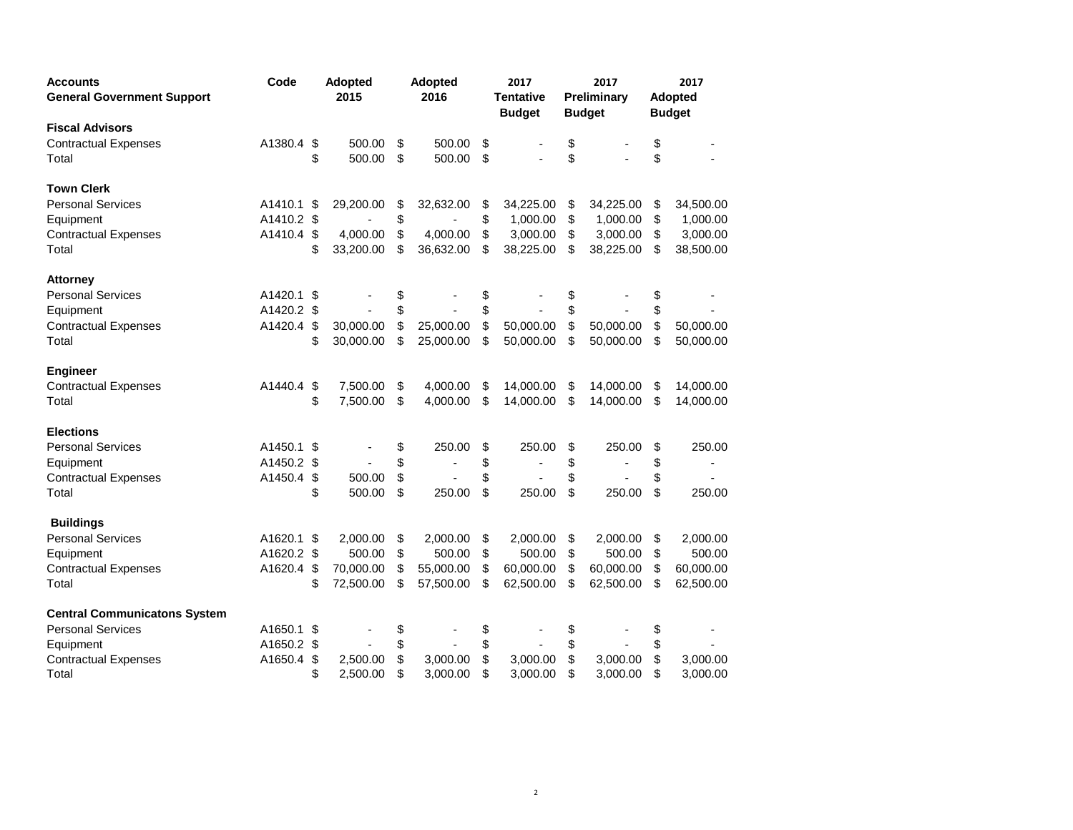| <b>Accounts</b><br><b>General Government Support</b> | Code       |     | <b>Adopted</b><br>2015 |    | <b>Adopted</b><br>2016 | 2017<br><b>Tentative</b><br><b>Budget</b> | 2017<br>Preliminary<br><b>Budget</b> | 2017<br>Adopted<br><b>Budget</b> |           |
|------------------------------------------------------|------------|-----|------------------------|----|------------------------|-------------------------------------------|--------------------------------------|----------------------------------|-----------|
| <b>Fiscal Advisors</b>                               |            |     |                        |    |                        |                                           |                                      |                                  |           |
| <b>Contractual Expenses</b>                          | A1380.4    | \$  | 500.00                 | \$ | 500.00                 | \$                                        | \$                                   | \$                               |           |
| Total                                                |            | \$  | 500.00                 | \$ | 500.00                 | \$                                        | \$                                   | \$                               |           |
| <b>Town Clerk</b>                                    |            |     |                        |    |                        |                                           |                                      |                                  |           |
| <b>Personal Services</b>                             | A1410.1    | -\$ | 29,200.00              | \$ | 32,632.00              | \$<br>34,225.00                           | \$<br>34,225.00                      | \$                               | 34,500.00 |
| Equipment                                            | A1410.2 \$ |     |                        | \$ |                        | \$<br>1,000.00                            | \$<br>1,000.00                       | \$                               | 1,000.00  |
| <b>Contractual Expenses</b>                          | A1410.4    | \$  | 4,000.00               | \$ | 4,000.00               | \$<br>3,000.00                            | \$<br>3,000.00                       | \$                               | 3,000.00  |
| Total                                                |            | \$  | 33,200.00              | \$ | 36,632.00              | \$<br>38,225.00                           | \$<br>38,225.00                      | \$                               | 38,500.00 |
| <b>Attorney</b>                                      |            |     |                        |    |                        |                                           |                                      |                                  |           |
| <b>Personal Services</b>                             | A1420.1 \$ |     |                        | \$ |                        | \$                                        | \$                                   | \$                               |           |
| Equipment                                            | A1420.2 \$ |     |                        | \$ |                        | \$                                        | \$                                   | \$                               |           |
| <b>Contractual Expenses</b>                          | A1420.4    | \$  | 30,000.00              | \$ | 25,000.00              | \$<br>50,000.00                           | \$<br>50,000.00                      | \$                               | 50,000.00 |
| Total                                                |            | \$  | 30,000.00              | \$ | 25,000.00              | \$<br>50,000.00                           | \$<br>50,000.00                      | \$                               | 50,000.00 |
| Engineer                                             |            |     |                        |    |                        |                                           |                                      |                                  |           |
| <b>Contractual Expenses</b>                          | A1440.4    | -\$ | 7,500.00               | \$ | 4,000.00               | \$<br>14,000.00                           | \$<br>14,000.00                      | \$                               | 14,000.00 |
| Total                                                |            | \$  | 7,500.00               | \$ | 4,000.00               | \$<br>14,000.00                           | \$<br>14,000.00                      | \$                               | 14,000.00 |
| <b>Elections</b>                                     |            |     |                        |    |                        |                                           |                                      |                                  |           |
| <b>Personal Services</b>                             | A1450.1    | -\$ |                        | \$ | 250.00                 | \$<br>250.00                              | \$<br>250.00                         | \$                               | 250.00    |
| Equipment                                            | A1450.2 \$ |     |                        | \$ |                        | \$                                        | \$<br>$\blacksquare$                 | \$                               |           |
| <b>Contractual Expenses</b>                          | A1450.4    | \$  | 500.00                 | \$ |                        | \$                                        | \$                                   | \$                               |           |
| Total                                                |            | \$  | 500.00                 | \$ | 250.00                 | \$<br>250.00                              | \$<br>250.00                         | \$                               | 250.00    |
| <b>Buildings</b>                                     |            |     |                        |    |                        |                                           |                                      |                                  |           |
| <b>Personal Services</b>                             | A1620.1 \$ |     | 2,000.00               | \$ | 2,000.00               | \$<br>2,000.00                            | \$<br>2,000.00                       | \$                               | 2,000.00  |
| Equipment                                            | A1620.2 \$ |     | 500.00                 | \$ | 500.00                 | \$<br>500.00                              | \$<br>500.00                         | \$                               | 500.00    |
| <b>Contractual Expenses</b>                          | A1620.4    | \$  | 70,000.00              | \$ | 55,000.00              | \$<br>60,000.00                           | \$<br>60,000.00                      | \$                               | 60,000.00 |
| Total                                                |            | \$  | 72,500.00              | \$ | 57,500.00              | \$<br>62,500.00                           | \$<br>62,500.00                      | \$                               | 62,500.00 |
| <b>Central Communicatons System</b>                  |            |     |                        |    |                        |                                           |                                      |                                  |           |
| <b>Personal Services</b>                             | A1650.1 \$ |     |                        | \$ |                        | \$                                        | \$                                   | \$                               |           |
| Equipment                                            | A1650.2 \$ |     |                        | \$ |                        | \$                                        | \$                                   | \$                               |           |
| <b>Contractual Expenses</b>                          | A1650.4    | \$  | 2,500.00               | \$ | 3,000.00               | \$<br>3,000.00                            | \$<br>3,000.00                       | \$                               | 3,000.00  |
| Total                                                |            | \$  | 2,500.00               | \$ | 3,000.00               | \$<br>3,000.00                            | \$<br>3,000.00                       | \$                               | 3,000.00  |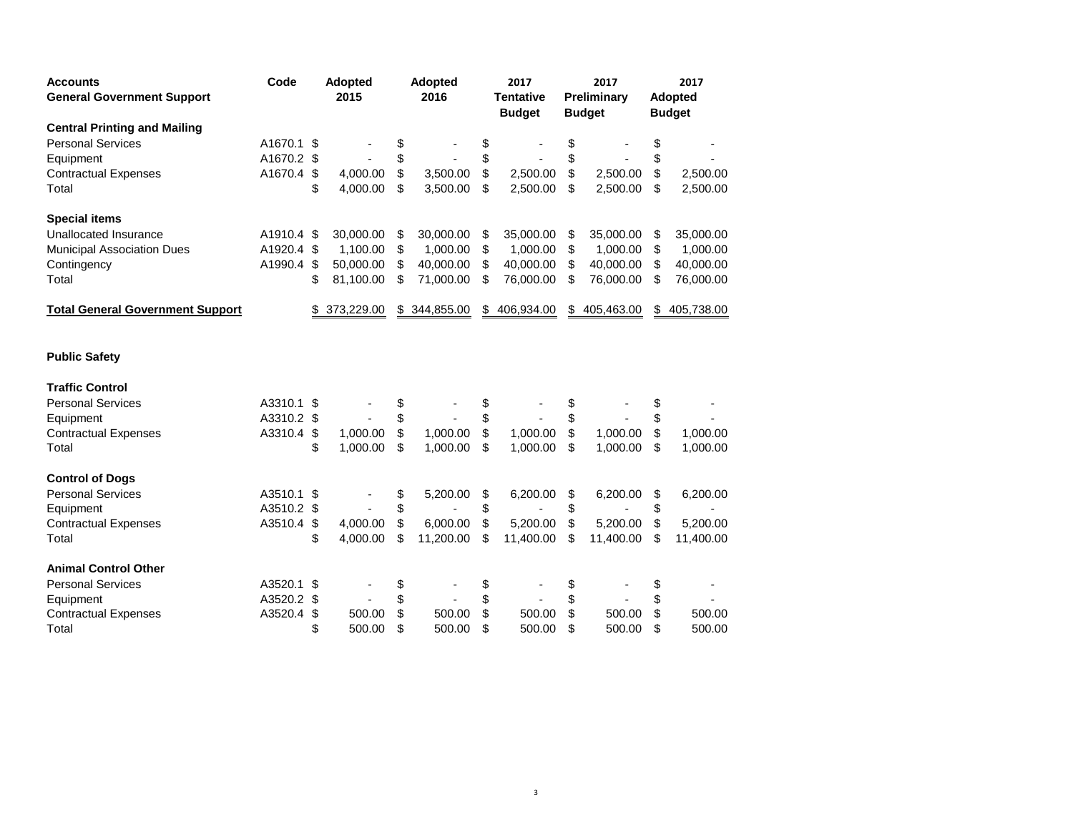| <b>Accounts</b><br><b>General Government Support</b> | Code       | <b>Adopted</b><br>2015 |            | <b>Adopted</b><br>2016 |            |                         | 2017<br><b>Tentative</b><br><b>Budget</b> |    | 2017<br>Preliminary<br><b>Budget</b> | 2017<br><b>Adopted</b><br><b>Budget</b> |            |
|------------------------------------------------------|------------|------------------------|------------|------------------------|------------|-------------------------|-------------------------------------------|----|--------------------------------------|-----------------------------------------|------------|
| <b>Central Printing and Mailing</b>                  |            |                        |            |                        |            |                         |                                           |    |                                      |                                         |            |
| <b>Personal Services</b>                             | A1670.1    | \$                     |            | \$                     |            | \$                      |                                           | \$ |                                      | \$                                      |            |
| Equipment                                            | A1670.2 \$ |                        |            | \$                     |            | \$                      |                                           | \$ |                                      | \$                                      |            |
| <b>Contractual Expenses</b>                          | A1670.4    | \$                     | 4,000.00   | \$                     | 3,500.00   | $\sqrt[6]{\frac{1}{2}}$ | 2,500.00                                  | \$ | 2,500.00                             | \$                                      | 2,500.00   |
| Total                                                |            | \$                     | 4,000.00   | \$                     | 3,500.00   | \$                      | 2,500.00                                  | \$ | 2,500.00                             | \$                                      | 2,500.00   |
| <b>Special items</b>                                 |            |                        |            |                        |            |                         |                                           |    |                                      |                                         |            |
| <b>Unallocated Insurance</b>                         | A1910.4 \$ |                        | 30,000.00  | \$                     | 30,000.00  | \$                      | 35,000.00                                 | \$ | 35,000.00                            | \$                                      | 35,000.00  |
| <b>Municipal Association Dues</b>                    | A1920.4    | \$                     | 1,100.00   | \$                     | 1,000.00   | \$                      | 1,000.00                                  | \$ | 1,000.00                             | \$                                      | 1,000.00   |
| Contingency                                          | A1990.4    | \$                     | 50,000.00  | \$                     | 40,000.00  | \$                      | 40,000.00                                 | \$ | 40,000.00                            | \$                                      | 40,000.00  |
| Total                                                |            | \$                     | 81,100.00  | \$                     | 71,000.00  | \$                      | 76,000.00                                 | \$ | 76,000.00                            | \$                                      | 76,000.00  |
| <b>Total General Government Support</b>              |            | \$                     | 373,229.00 | \$                     | 344,855.00 | \$                      | 406,934.00                                | S  | 405,463.00                           | \$                                      | 405,738.00 |
| <b>Public Safety</b>                                 |            |                        |            |                        |            |                         |                                           |    |                                      |                                         |            |
| <b>Traffic Control</b>                               |            |                        |            |                        |            |                         |                                           |    |                                      |                                         |            |
| <b>Personal Services</b>                             | A3310.1    | -\$                    |            | \$                     |            | \$                      |                                           | \$ |                                      | \$                                      |            |
| Equipment                                            | A3310.2    | \$                     |            | \$                     |            | \$                      |                                           | \$ |                                      | \$                                      |            |
| <b>Contractual Expenses</b>                          | A3310.4    | \$                     | 1,000.00   | \$                     | 1,000.00   | $\mathfrak s$           | 1,000.00                                  | \$ | 1,000.00                             | \$                                      | 1,000.00   |
| Total                                                |            | \$                     | 1,000.00   | \$                     | 1,000.00   | \$                      | 1,000.00                                  | \$ | 1,000.00                             | \$                                      | 1,000.00   |
| <b>Control of Dogs</b>                               |            |                        |            |                        |            |                         |                                           |    |                                      |                                         |            |
| <b>Personal Services</b>                             | A3510.1    | S                      |            | \$                     | 5,200.00   | \$                      | 6,200.00                                  | \$ | 6,200.00                             | \$                                      | 6,200.00   |
| Equipment                                            | A3510.2 \$ |                        |            | \$                     |            | \$                      |                                           | \$ |                                      | \$                                      |            |
| <b>Contractual Expenses</b>                          | A3510.4    | \$                     | 4.000.00   | \$                     | 6.000.00   | \$                      | 5,200.00                                  | \$ | 5.200.00                             | \$                                      | 5,200.00   |
| Total                                                |            | \$                     | 4,000.00   | \$                     | 11,200.00  | \$                      | 11,400.00                                 | \$ | 11,400.00                            | \$                                      | 11,400.00  |
| <b>Animal Control Other</b>                          |            |                        |            |                        |            |                         |                                           |    |                                      |                                         |            |
| <b>Personal Services</b>                             | A3520.1    | \$                     |            | \$                     |            | \$                      |                                           | \$ |                                      | \$                                      |            |
| Equipment                                            | A3520.2    | \$                     |            | \$                     |            | \$                      |                                           | \$ |                                      | \$                                      |            |
| <b>Contractual Expenses</b>                          | A3520.4    | \$                     | 500.00     | \$                     | 500.00     | \$                      | 500.00                                    | \$ | 500.00                               | \$                                      | 500.00     |
| Total                                                |            | \$                     | 500.00     | \$                     | 500.00     | \$                      | 500.00                                    | \$ | 500.00                               | \$                                      | 500.00     |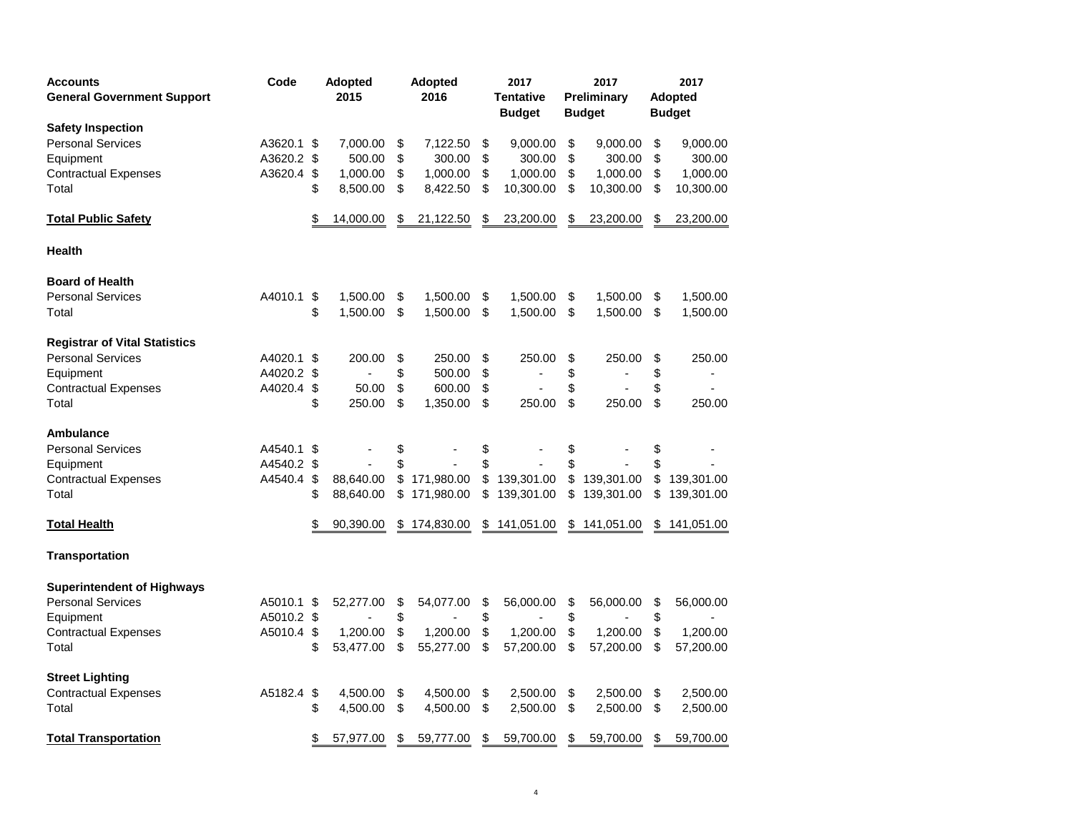| <b>Accounts</b><br><b>General Government Support</b> | Code       |    | <b>Adopted</b><br>2015 |    | <b>Adopted</b><br>2016 |     | 2017<br><b>Tentative</b><br><b>Budget</b> |    | 2017<br>Preliminary<br><b>Budget</b> | 2017<br><b>Adopted</b><br><b>Budget</b> |
|------------------------------------------------------|------------|----|------------------------|----|------------------------|-----|-------------------------------------------|----|--------------------------------------|-----------------------------------------|
| <b>Safety Inspection</b>                             |            |    |                        |    |                        |     |                                           |    |                                      |                                         |
| <b>Personal Services</b>                             | A3620.1    | \$ | 7,000.00               | \$ | 7,122.50               | \$  | 9,000.00                                  | \$ | 9,000.00                             | \$<br>9,000.00                          |
| Equipment                                            | A3620.2    | \$ | 500.00                 | \$ | 300.00                 | \$  | 300.00                                    | \$ | 300.00                               | \$<br>300.00                            |
| <b>Contractual Expenses</b>                          | A3620.4    | \$ | 1,000.00               | \$ | 1,000.00               | \$  | 1,000.00                                  | \$ | 1,000.00                             | \$<br>1,000.00                          |
| Total                                                |            | \$ | 8,500.00               | \$ | 8,422.50               | \$  | 10,300.00                                 | \$ | 10,300.00                            | \$<br>10,300.00                         |
| <b>Total Public Safety</b>                           |            | \$ | 14,000.00              | S  | 21,122.50              | \$. | 23,200.00                                 | S  | 23,200.00                            | \$<br>23,200.00                         |
| Health                                               |            |    |                        |    |                        |     |                                           |    |                                      |                                         |
| <b>Board of Health</b>                               |            |    |                        |    |                        |     |                                           |    |                                      |                                         |
| <b>Personal Services</b>                             | A4010.1    | \$ | 1,500.00               | \$ | 1,500.00               | \$  | 1,500.00                                  | \$ | 1,500.00                             | \$<br>1,500.00                          |
| Total                                                |            | \$ | 1,500.00               | \$ | 1,500.00               | \$  | 1,500.00                                  | \$ | 1,500.00                             | \$<br>1,500.00                          |
| <b>Registrar of Vital Statistics</b>                 |            |    |                        |    |                        |     |                                           |    |                                      |                                         |
| <b>Personal Services</b>                             | A4020.1    | \$ | 200.00                 | \$ | 250.00                 | \$  | 250.00                                    | \$ | 250.00                               | \$<br>250.00                            |
| Equipment                                            | A4020.2    | \$ |                        | \$ | 500.00                 | \$  |                                           | \$ |                                      | \$                                      |
| <b>Contractual Expenses</b>                          | A4020.4    | \$ | 50.00                  | \$ | 600.00                 | \$  |                                           | \$ |                                      | \$                                      |
| Total                                                |            | \$ | 250.00                 | \$ | 1,350.00               | \$  | 250.00                                    | \$ | 250.00                               | \$<br>250.00                            |
| <b>Ambulance</b>                                     |            |    |                        |    |                        |     |                                           |    |                                      |                                         |
| <b>Personal Services</b>                             | A4540.1    | \$ |                        | \$ |                        | \$  |                                           | \$ |                                      | \$                                      |
| Equipment                                            | A4540.2    | \$ |                        | \$ |                        | \$  |                                           | \$ |                                      | \$                                      |
| <b>Contractual Expenses</b>                          | A4540.4    | \$ | 88,640.00              | \$ | 171,980.00             | \$  | 139,301.00                                | \$ | 139,301.00                           | \$<br>139,301.00                        |
| Total                                                |            | S  | 88,640.00              | \$ | 171,980.00             | \$  | 139,301.00                                | \$ | 139,301.00                           | \$<br>139,301.00                        |
| <b>Total Health</b>                                  |            |    | 90,390.00              | \$ | 174,830.00             | \$  | 141,051.00                                | \$ | 141,051.00                           | \$141,051.00                            |
| <b>Transportation</b>                                |            |    |                        |    |                        |     |                                           |    |                                      |                                         |
| <b>Superintendent of Highways</b>                    |            |    |                        |    |                        |     |                                           |    |                                      |                                         |
| <b>Personal Services</b>                             | A5010.1    | \$ | 52,277.00              | \$ | 54,077.00              | \$  | 56,000.00                                 | \$ | 56,000.00                            | \$<br>56,000.00                         |
| Equipment                                            | A5010.2 \$ |    |                        | \$ |                        | \$  |                                           | \$ |                                      | \$                                      |
| <b>Contractual Expenses</b>                          | A5010.4    | \$ | 1,200.00               | \$ | 1,200.00               | \$  | 1,200.00                                  | \$ | 1,200.00                             | \$<br>1,200.00                          |
| Total                                                |            | \$ | 53,477.00              | \$ | 55,277.00              | \$  | 57,200.00                                 | \$ | 57,200.00                            | \$<br>57,200.00                         |
| <b>Street Lighting</b>                               |            |    |                        |    |                        |     |                                           |    |                                      |                                         |
| <b>Contractual Expenses</b>                          | A5182.4    | \$ | 4,500.00               | \$ | 4,500.00               | \$  | 2,500.00                                  | \$ | 2,500.00                             | \$<br>2,500.00                          |
| Total                                                |            | \$ | 4,500.00               | \$ | 4,500.00               | \$  | 2,500.00                                  | \$ | 2,500.00                             | \$<br>2,500.00                          |
| <b>Total Transportation</b>                          |            | \$ | 57,977.00              | \$ | 59,777.00              | \$  | 59,700.00                                 | \$ | 59,700.00                            | \$<br>59,700.00                         |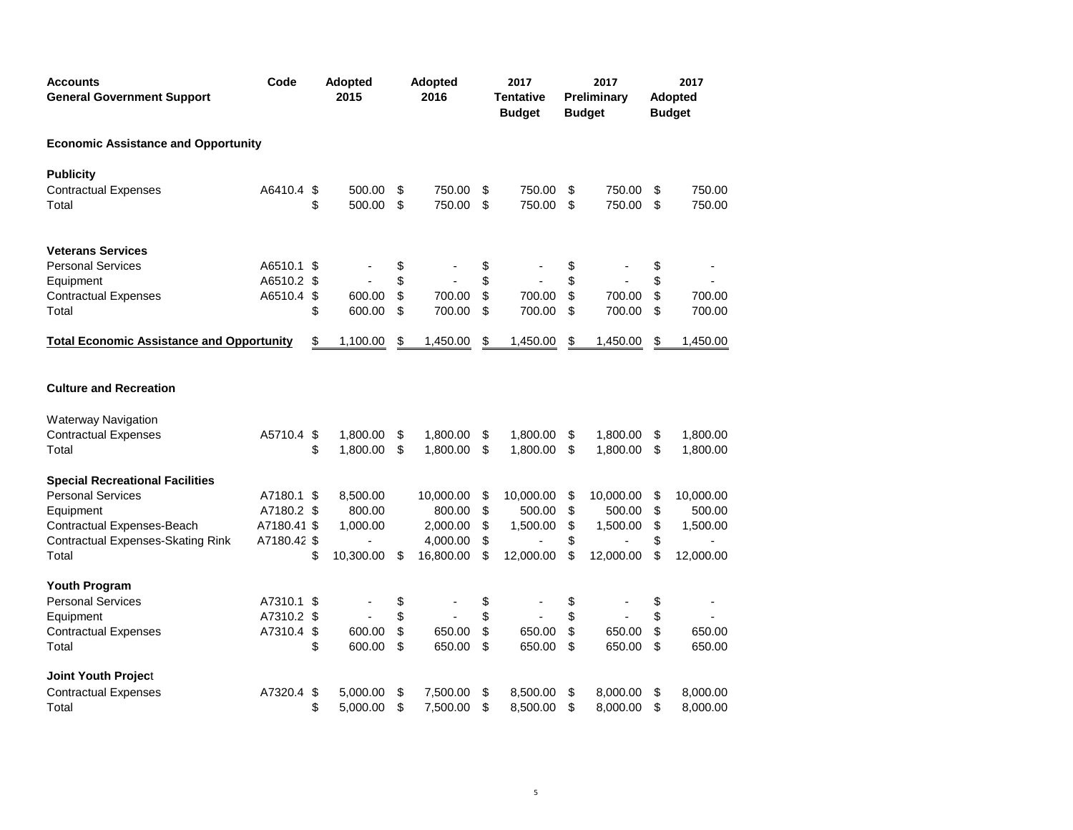| <b>Accounts</b><br><b>General Government Support</b> | Code        | Adopted<br>2015 | Adopted<br>2016 | 2017<br><b>Tentative</b><br><b>Budget</b> |     | 2017<br>Preliminary<br><b>Budget</b> | 2017<br><b>Adopted</b><br><b>Budget</b> |
|------------------------------------------------------|-------------|-----------------|-----------------|-------------------------------------------|-----|--------------------------------------|-----------------------------------------|
| <b>Economic Assistance and Opportunity</b>           |             |                 |                 |                                           |     |                                      |                                         |
| <b>Publicity</b>                                     |             |                 |                 |                                           |     |                                      |                                         |
| <b>Contractual Expenses</b>                          | A6410.4 \$  | 500.00          | \$<br>750.00    | \$<br>750.00                              | \$  | 750.00                               | \$<br>750.00                            |
| Total                                                |             | \$<br>500.00    | \$<br>750.00    | \$<br>750.00                              | \$  | 750.00                               | \$<br>750.00                            |
| <b>Veterans Services</b>                             |             |                 |                 |                                           |     |                                      |                                         |
| <b>Personal Services</b>                             | A6510.1 \$  |                 | \$              | \$                                        | \$  |                                      | \$                                      |
| Equipment                                            | A6510.2 \$  |                 | \$              | \$                                        | \$  |                                      | \$                                      |
| <b>Contractual Expenses</b>                          | A6510.4 \$  | 600.00          | \$<br>700.00    | \$<br>700.00                              | \$  | 700.00                               | \$<br>700.00                            |
| Total                                                |             | \$<br>600.00    | \$<br>700.00    | \$<br>700.00                              | \$  | 700.00                               | \$<br>700.00                            |
| <b>Total Economic Assistance and Opportunity</b>     |             | \$<br>1,100.00  | \$<br>1,450.00  | \$<br>1,450.00                            | \$  | 1,450.00                             | \$<br>1,450.00                          |
| <b>Culture and Recreation</b>                        |             |                 |                 |                                           |     |                                      |                                         |
| <b>Waterway Navigation</b>                           |             |                 |                 |                                           |     |                                      |                                         |
| <b>Contractual Expenses</b>                          | A5710.4 \$  | 1,800.00        | \$<br>1,800.00  | \$<br>1,800.00                            | \$  | 1,800.00                             | \$<br>1,800.00                          |
| Total                                                |             | \$<br>1,800.00  | \$<br>1,800.00  | \$<br>1,800.00                            | \$  | 1,800.00                             | \$<br>1,800.00                          |
| <b>Special Recreational Facilities</b>               |             |                 |                 |                                           |     |                                      |                                         |
| <b>Personal Services</b>                             | A7180.1 \$  | 8,500.00        | 10,000.00       | \$<br>10,000.00                           | -\$ | 10,000.00                            | \$<br>10,000.00                         |
| Equipment                                            | A7180.2 \$  | 800.00          | 800.00          | \$<br>500.00                              | \$  | 500.00                               | \$<br>500.00                            |
| Contractual Expenses-Beach                           | A7180.41 \$ | 1,000.00        | 2,000.00        | \$<br>1,500.00                            | \$  | 1,500.00                             | \$<br>1,500.00                          |
| Contractual Expenses-Skating Rink                    | A7180.42 \$ |                 | 4,000.00        | \$                                        | \$  |                                      | \$                                      |
| Total                                                |             | \$<br>10,300.00 | \$<br>16,800.00 | \$<br>12,000.00                           | \$  | 12,000.00                            | \$<br>12,000.00                         |
| Youth Program                                        |             |                 |                 |                                           |     |                                      |                                         |
| <b>Personal Services</b>                             | A7310.1 \$  |                 | \$              | \$                                        | \$  |                                      | \$                                      |
| Equipment                                            | A7310.2 \$  |                 | \$              | \$                                        | \$  |                                      | \$                                      |
| <b>Contractual Expenses</b>                          | A7310.4 \$  | 600.00          | \$<br>650.00    | \$<br>650.00                              | \$  | 650.00                               | \$<br>650.00                            |
| Total                                                |             | \$<br>600.00    | \$<br>650.00    | \$<br>650.00                              | \$  | 650.00                               | \$<br>650.00                            |
| <b>Joint Youth Project</b>                           |             |                 |                 |                                           |     |                                      |                                         |
| <b>Contractual Expenses</b>                          | A7320.4 \$  | 5,000.00        | \$<br>7,500.00  | \$<br>8,500.00                            | \$  | 8,000.00                             | \$<br>8,000.00                          |
| Total                                                |             | \$<br>5,000.00  | \$<br>7,500.00  | \$<br>8,500.00                            | \$  | 8,000.00                             | \$<br>8,000.00                          |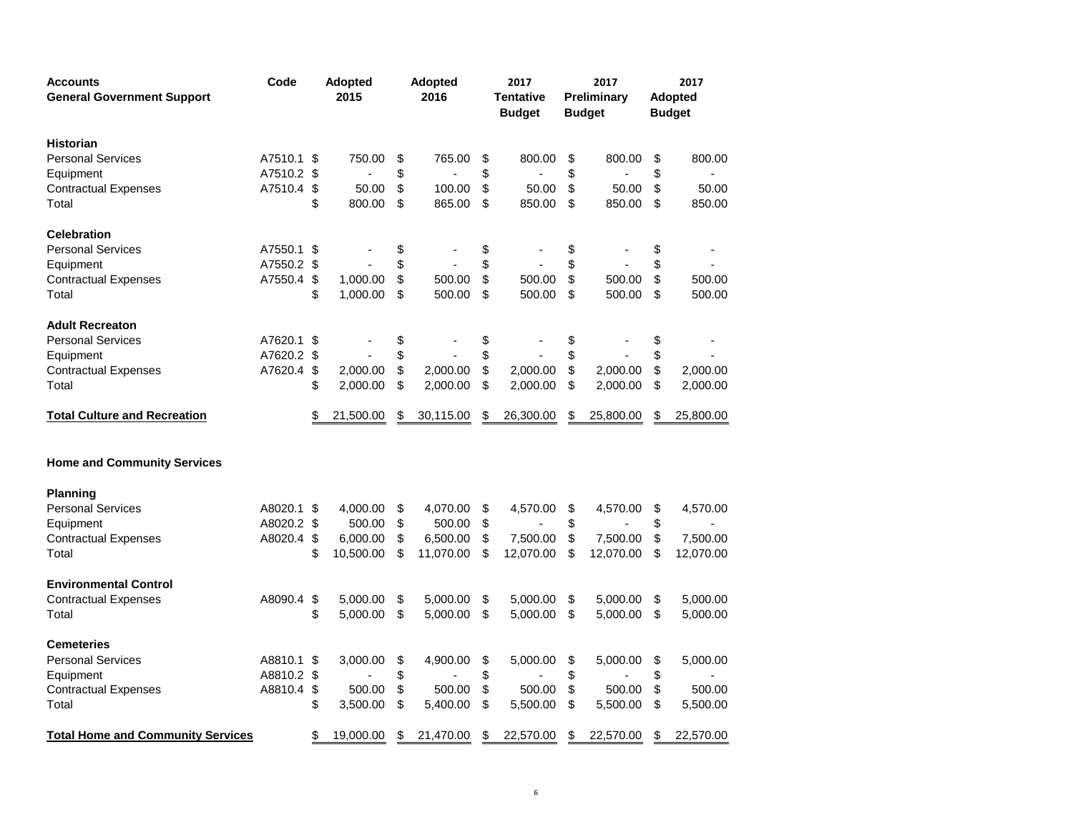| <b>Accounts</b><br><b>General Government Support</b> | Code<br>Adopted<br><b>Adopted</b><br>2017<br>2016<br>2015<br>Preliminary<br><b>Tentative</b><br><b>Budget</b><br><b>Budget</b> |                         | 2017      | 2017<br><b>Adopted</b><br><b>Budget</b> |                 |    |           |    |           |
|------------------------------------------------------|--------------------------------------------------------------------------------------------------------------------------------|-------------------------|-----------|-----------------------------------------|-----------------|----|-----------|----|-----------|
| <b>Historian</b>                                     |                                                                                                                                |                         |           |                                         |                 |    |           |    |           |
| <b>Personal Services</b>                             | A7510.1 \$                                                                                                                     |                         | 750.00    | \$<br>765.00                            | \$<br>800.00    | \$ | 800.00    | \$ | 800.00    |
| Equipment                                            | A7510.2 \$                                                                                                                     |                         |           | \$                                      | \$              | \$ |           | \$ |           |
| <b>Contractual Expenses</b>                          | A7510.4 \$                                                                                                                     |                         | 50.00     | \$<br>100.00                            | \$<br>50.00     | \$ | 50.00     | \$ | 50.00     |
| Total                                                |                                                                                                                                | \$                      | 800.00    | \$<br>865.00                            | \$<br>850.00    | \$ | 850.00    | \$ | 850.00    |
| <b>Celebration</b>                                   |                                                                                                                                |                         |           |                                         |                 |    |           |    |           |
| <b>Personal Services</b>                             | A7550.1                                                                                                                        | \$                      |           | \$                                      | \$              | \$ |           | \$ |           |
| Equipment                                            | A7550.2 \$                                                                                                                     |                         |           | \$                                      | \$              | \$ |           | \$ |           |
| <b>Contractual Expenses</b>                          | A7550.4                                                                                                                        | -\$                     | 1,000.00  | \$<br>500.00                            | \$<br>500.00    | \$ | 500.00    | \$ | 500.00    |
| Total                                                |                                                                                                                                | \$                      | 1,000.00  | \$<br>500.00                            | \$<br>500.00    | \$ | 500.00    | \$ | 500.00    |
| <b>Adult Recreaton</b>                               |                                                                                                                                |                         |           |                                         |                 |    |           |    |           |
| <b>Personal Services</b>                             | A7620.1 \$                                                                                                                     |                         |           | \$                                      | \$              | \$ |           | \$ |           |
| Equipment                                            | A7620.2 \$                                                                                                                     |                         |           | \$                                      | \$              | \$ |           | \$ |           |
| <b>Contractual Expenses</b>                          | A7620.4                                                                                                                        | \$                      | 2,000.00  | \$<br>2,000.00                          | \$<br>2,000.00  | \$ | 2,000.00  | \$ | 2,000.00  |
| Total                                                |                                                                                                                                | \$                      | 2,000.00  | \$<br>2,000.00                          | \$<br>2,000.00  | \$ | 2,000.00  | \$ | 2,000.00  |
| <b>Total Culture and Recreation</b>                  |                                                                                                                                | \$                      | 21,500.00 | \$<br>30,115.00                         | \$<br>26,300.00 | \$ | 25,800.00 | \$ | 25,800.00 |
| <b>Home and Community Services</b>                   |                                                                                                                                |                         |           |                                         |                 |    |           |    |           |
| <b>Planning</b>                                      |                                                                                                                                |                         |           |                                         |                 |    |           |    |           |
| <b>Personal Services</b>                             | A8020.1 \$                                                                                                                     |                         | 4,000.00  | \$<br>4,070.00                          | \$<br>4,570.00  | \$ | 4,570.00  | \$ | 4,570.00  |
| Equipment                                            | A8020.2 \$                                                                                                                     |                         | 500.00    | \$<br>500.00                            | \$              | \$ |           | \$ |           |
| <b>Contractual Expenses</b>                          | A8020.4                                                                                                                        | \$                      | 6,000.00  | \$<br>6,500.00                          | \$<br>7,500.00  | \$ | 7,500.00  | \$ | 7,500.00  |
| Total                                                |                                                                                                                                | \$                      | 10,500.00 | \$<br>11,070.00                         | \$<br>12,070.00 | \$ | 12,070.00 | \$ | 12,070.00 |
| <b>Environmental Control</b>                         |                                                                                                                                |                         |           |                                         |                 |    |           |    |           |
| <b>Contractual Expenses</b>                          | A8090.4                                                                                                                        | $\sqrt[6]{\frac{1}{2}}$ | 5,000.00  | \$<br>5,000.00                          | \$<br>5,000.00  | \$ | 5,000.00  | \$ | 5,000.00  |
| Total                                                |                                                                                                                                | \$                      | 5,000.00  | \$<br>5,000.00                          | \$<br>5,000.00  | \$ | 5,000.00  | \$ | 5,000.00  |
| <b>Cemeteries</b>                                    |                                                                                                                                |                         |           |                                         |                 |    |           |    |           |
| <b>Personal Services</b>                             | A8810.1                                                                                                                        | \$                      | 3,000.00  | \$<br>4,900.00                          | \$<br>5,000.00  | \$ | 5,000.00  | \$ | 5,000.00  |
| Equipment                                            | A8810.2 \$                                                                                                                     |                         |           | \$                                      | \$              | \$ |           | \$ |           |
| <b>Contractual Expenses</b>                          | A8810.4                                                                                                                        | \$                      | 500.00    | \$<br>500.00                            | \$<br>500.00    | \$ | 500.00    | \$ | 500.00    |
| Total                                                |                                                                                                                                | \$                      | 3,500.00  | \$<br>5,400.00                          | \$<br>5,500.00  | \$ | 5,500.00  | \$ | 5,500.00  |
| <b>Total Home and Community Services</b>             |                                                                                                                                | \$                      | 19,000.00 | \$<br>21,470.00                         | \$<br>22,570.00 | \$ | 22,570.00 | S  | 22,570.00 |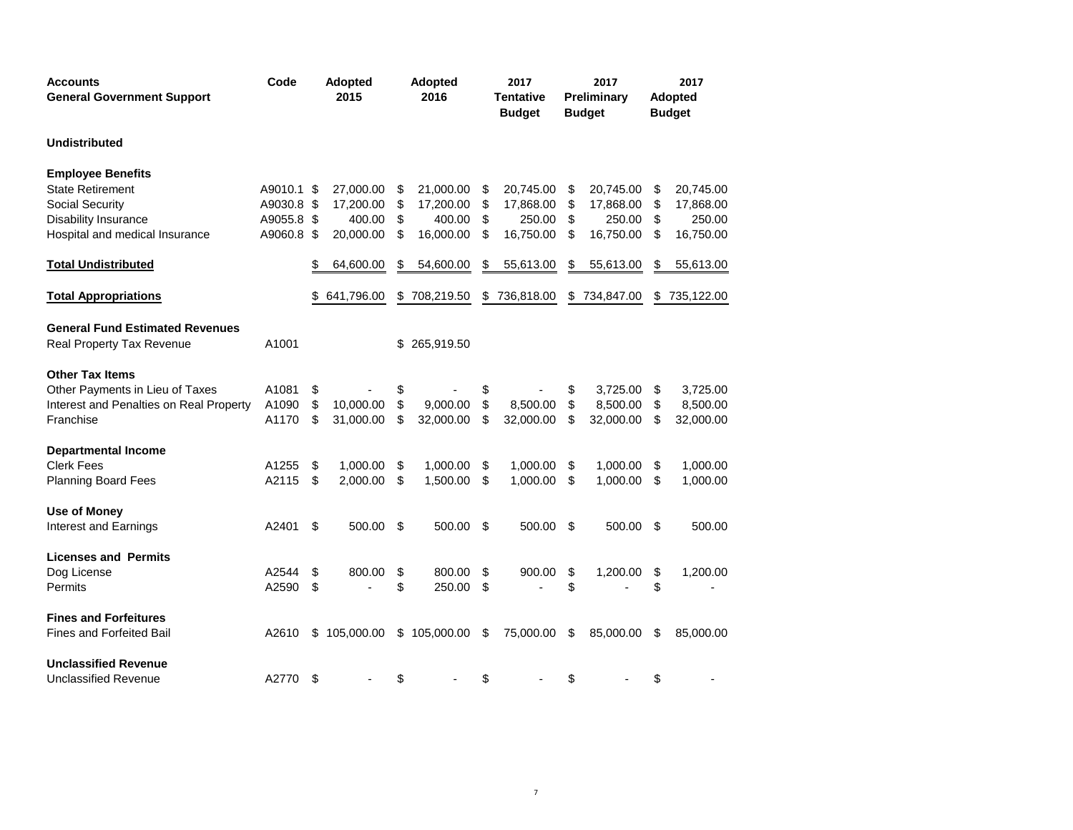| <b>Accounts</b><br><b>General Government Support</b> | Code       | <b>Adopted</b><br>2015 | <b>Adopted</b><br>2016 |    | 2017<br><b>Tentative</b><br><b>Budget</b> |    | 2017<br>Preliminary<br><b>Budget</b> | 2017<br><b>Adopted</b><br><b>Budget</b> |
|------------------------------------------------------|------------|------------------------|------------------------|----|-------------------------------------------|----|--------------------------------------|-----------------------------------------|
| <b>Undistributed</b>                                 |            |                        |                        |    |                                           |    |                                      |                                         |
| <b>Employee Benefits</b>                             |            |                        |                        |    |                                           |    |                                      |                                         |
| <b>State Retirement</b>                              | A9010.1 \$ | 27,000.00              | \$<br>21,000.00        | \$ | 20,745.00                                 | \$ | 20,745.00                            | \$<br>20,745.00                         |
| Social Security                                      | A9030.8 \$ | 17,200.00              | \$<br>17,200.00        | \$ | 17,868.00                                 | \$ | 17,868.00                            | \$<br>17,868.00                         |
| <b>Disability Insurance</b>                          | A9055.8 \$ | 400.00                 | \$<br>400.00           | \$ | 250.00                                    | \$ | 250.00                               | \$<br>250.00                            |
| Hospital and medical Insurance                       | A9060.8 \$ | 20,000.00              | \$<br>16,000.00        | \$ | 16,750.00                                 | \$ | 16,750.00                            | \$<br>16,750.00                         |
| <b>Total Undistributed</b>                           |            | 64,600.00              | \$<br>54,600.00        | \$ | 55,613.00                                 | \$ | 55,613.00                            | \$<br>55,613.00                         |
| <b>Total Appropriations</b>                          |            | 641,796.00             | \$708,219.50           | S  | 736,818.00                                | S  | 734,847.00                           | \$735,122.00                            |
| <b>General Fund Estimated Revenues</b>               |            |                        |                        |    |                                           |    |                                      |                                         |
| Real Property Tax Revenue                            | A1001      |                        | \$265,919.50           |    |                                           |    |                                      |                                         |
| <b>Other Tax Items</b>                               |            |                        |                        |    |                                           |    |                                      |                                         |
| Other Payments in Lieu of Taxes                      | A1081      | \$                     | \$                     |    |                                           | \$ | 3,725.00                             | \$<br>3,725.00                          |
| Interest and Penalties on Real Property              | A1090      | \$<br>10.000.00        | \$<br>9.000.00         | \$ | 8.500.00                                  | \$ | 8,500.00                             | \$<br>8,500.00                          |
| Franchise                                            | A1170      | \$<br>31,000.00        | \$<br>32,000.00        | \$ | 32,000.00                                 | \$ | 32,000.00                            | \$<br>32,000.00                         |
| <b>Departmental Income</b>                           |            |                        |                        |    |                                           |    |                                      |                                         |
| <b>Clerk Fees</b>                                    | A1255      | \$<br>1,000.00         | \$<br>1,000.00         | \$ | 1,000.00                                  | \$ | 1,000.00                             | \$<br>1,000.00                          |
| <b>Planning Board Fees</b>                           | A2115      | \$<br>2,000.00         | \$<br>1,500.00         | \$ | 1,000.00                                  | \$ | 1,000.00                             | \$<br>1,000.00                          |
| <b>Use of Money</b>                                  |            |                        |                        |    |                                           |    |                                      |                                         |
| Interest and Earnings                                | A2401      | \$<br>500.00           | \$<br>500.00           | \$ | 500.00                                    | \$ | 500.00                               | \$<br>500.00                            |
| <b>Licenses and Permits</b>                          |            |                        |                        |    |                                           |    |                                      |                                         |
| Dog License                                          | A2544      | \$<br>800.00           | \$<br>800.00           | \$ | 900.00                                    | \$ | 1,200.00                             | \$<br>1,200.00                          |
| Permits                                              | A2590      | \$                     | \$<br>250.00           | \$ |                                           | \$ |                                      | \$                                      |
| <b>Fines and Forfeitures</b>                         |            |                        |                        |    |                                           |    |                                      |                                         |
| <b>Fines and Forfeited Bail</b>                      | A2610      | \$<br>105,000.00       | \$105,000.00           | \$ | 75,000.00                                 | \$ | 85,000.00                            | \$<br>85,000.00                         |
| <b>Unclassified Revenue</b>                          |            |                        |                        |    |                                           |    |                                      |                                         |
| <b>Unclassified Revenue</b>                          | A2770      | \$                     | \$                     | \$ |                                           | \$ |                                      | \$                                      |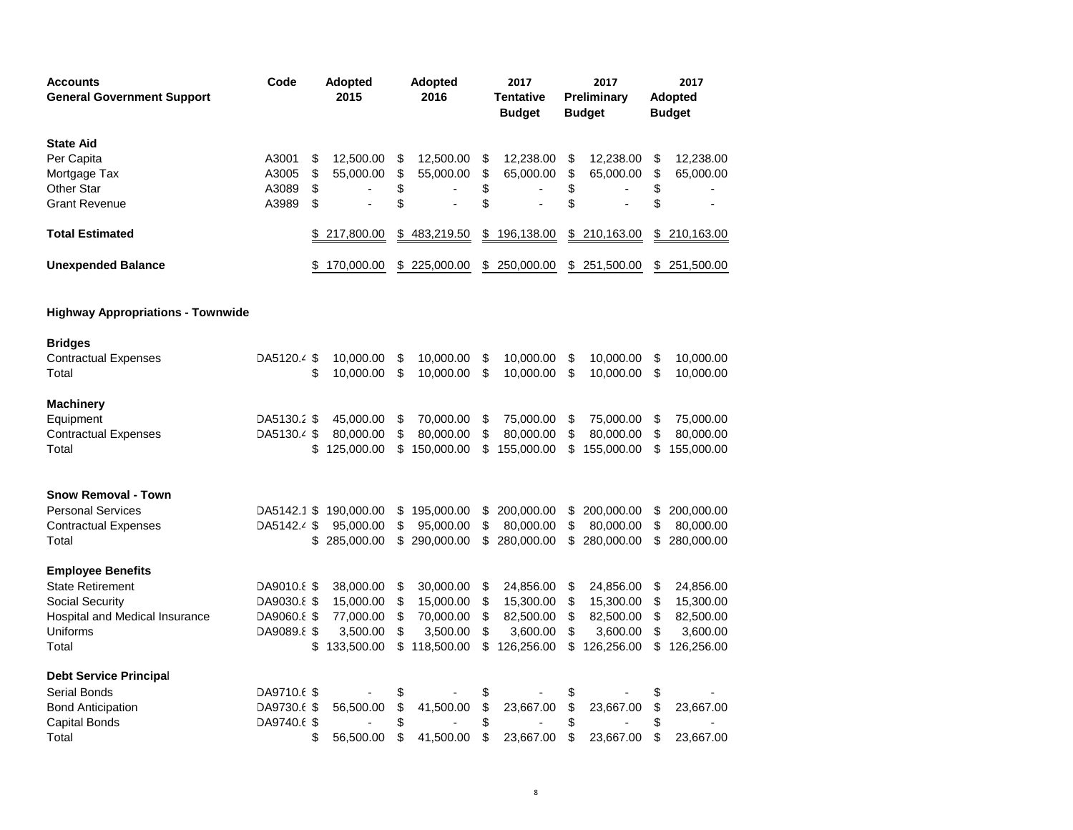| <b>Accounts</b><br><b>General Government Support</b> | Code                       |          | <b>Adopted</b><br>2015 |          | <b>Adopted</b><br>2016 |          | 2017<br>Tentative<br><b>Budget</b> |          | 2017<br>Preliminary<br><b>Budget</b> |          | 2017<br>Adopted<br><b>Budget</b> |
|------------------------------------------------------|----------------------------|----------|------------------------|----------|------------------------|----------|------------------------------------|----------|--------------------------------------|----------|----------------------------------|
| <b>State Aid</b>                                     |                            |          |                        |          |                        |          |                                    |          |                                      |          |                                  |
| Per Capita                                           | A3001                      | \$       | 12,500.00              | \$       | 12,500.00              | \$       | 12,238.00                          | \$       | 12,238.00                            | \$       | 12,238.00                        |
| Mortgage Tax<br><b>Other Star</b>                    | A3005<br>A3089             | \$<br>\$ | 55,000.00              | \$<br>\$ | 55,000.00              | \$       | 65,000.00                          | \$<br>\$ | 65,000.00                            | \$       | 65,000.00                        |
| <b>Grant Revenue</b>                                 | A3989                      | \$       |                        | \$       |                        | \$<br>\$ |                                    | \$       |                                      | \$<br>\$ |                                  |
| <b>Total Estimated</b>                               |                            |          | 217,800.00             | \$       | 483,219.50             | \$       | 196,138.00                         | \$       | 210,163.00                           | \$       | 210,163.00                       |
| <b>Unexpended Balance</b>                            |                            |          | 170,000.00             |          | \$225,000.00           | \$       | 250,000.00                         | \$       | 251,500.00                           | \$       | 251,500.00                       |
| <b>Highway Appropriations - Townwide</b>             |                            |          |                        |          |                        |          |                                    |          |                                      |          |                                  |
| <b>Bridges</b>                                       |                            |          |                        |          |                        |          |                                    |          |                                      |          |                                  |
| <b>Contractual Expenses</b><br>Total                 | DA5120.4 \$                | \$       | 10,000.00<br>10,000.00 | \$<br>\$ | 10,000.00<br>10,000.00 | \$<br>\$ | 10,000.00<br>10,000.00             | \$<br>\$ | 10,000.00<br>10,000.00               | \$<br>\$ | 10,000.00<br>10,000.00           |
| <b>Machinery</b>                                     |                            |          |                        |          |                        |          |                                    |          |                                      |          |                                  |
| Equipment                                            | DA5130.2 \$                |          | 45,000.00              | \$       | 70,000.00              | \$       | 75,000.00                          | \$       | 75,000.00                            | \$       | 75,000.00                        |
| <b>Contractual Expenses</b>                          | DA5130.4 \$                |          | 80,000.00              | \$       | 80,000.00              | \$       | 80,000.00                          | \$       | 80,000.00                            | \$       | 80,000.00                        |
| Total                                                |                            | \$       | 125,000.00             | \$       | 150,000.00             | \$       | 155,000.00                         | \$       | 155,000.00                           | \$       | 155,000.00                       |
| <b>Snow Removal - Town</b>                           |                            |          |                        |          |                        |          |                                    |          |                                      |          |                                  |
| <b>Personal Services</b>                             | DA5142.1 \$                |          | 190,000.00             | \$       | 195,000.00             | \$       | 200,000.00                         | \$       | 200,000.00                           | \$       | 200,000.00                       |
| <b>Contractual Expenses</b>                          | DA5142.4 \$                |          | 95,000.00              | \$       | 95,000.00              | \$       | 80,000.00                          | \$       | 80,000.00                            | \$       | 80,000.00                        |
| Total                                                |                            | \$       | 285,000.00             | \$       | 290,000.00             | \$       | 280,000.00                         | \$       | 280,000.00                           | \$       | 280,000.00                       |
| <b>Employee Benefits</b>                             |                            |          |                        |          |                        |          |                                    |          |                                      |          |                                  |
| <b>State Retirement</b>                              | DA9010.8 \$                |          | 38,000.00              | \$       | 30,000.00              | \$       | 24,856.00                          | \$       | 24,856.00                            | \$       | 24,856.00                        |
| Social Security                                      | DA9030.8 \$                |          | 15,000.00              | \$       | 15,000.00              | \$       | 15,300.00                          | \$       | 15,300.00                            | \$       | 15,300.00                        |
| Hospital and Medical Insurance                       | DA9060.8 \$                |          | 77,000.00              | \$       | 70,000.00              | \$       | 82,500.00                          | \$       | 82,500.00                            | \$       | 82,500.00                        |
| <b>Uniforms</b>                                      | DA9089.8 \$                |          | 3,500.00               | \$       | 3,500.00               | \$       | 3,600.00                           | \$       | 3,600.00                             | \$       | 3,600.00                         |
| Total                                                |                            | \$       | 133,500.00             | \$       | 118,500.00             | \$       | 126,256.00                         | \$       | 126,256.00                           | \$       | 126,256.00                       |
| <b>Debt Service Principal</b>                        |                            |          |                        |          |                        |          |                                    |          |                                      |          |                                  |
| Serial Bonds                                         | DA9710.6 \$                |          |                        | \$       |                        | \$       |                                    | \$       |                                      | \$       |                                  |
| <b>Bond Anticipation</b><br><b>Capital Bonds</b>     | DA9730.6 \$<br>DA9740.6 \$ |          | 56,500.00              | \$<br>\$ | 41,500.00              | \$<br>\$ | 23,667.00                          | \$<br>\$ | 23,667.00                            | \$<br>\$ | 23,667.00                        |
| Total                                                |                            | \$       | 56,500.00              | \$       | 41,500.00              | \$       | 23,667.00                          | \$       | 23,667.00                            | \$       | 23,667.00                        |
|                                                      |                            |          |                        |          |                        |          |                                    |          |                                      |          |                                  |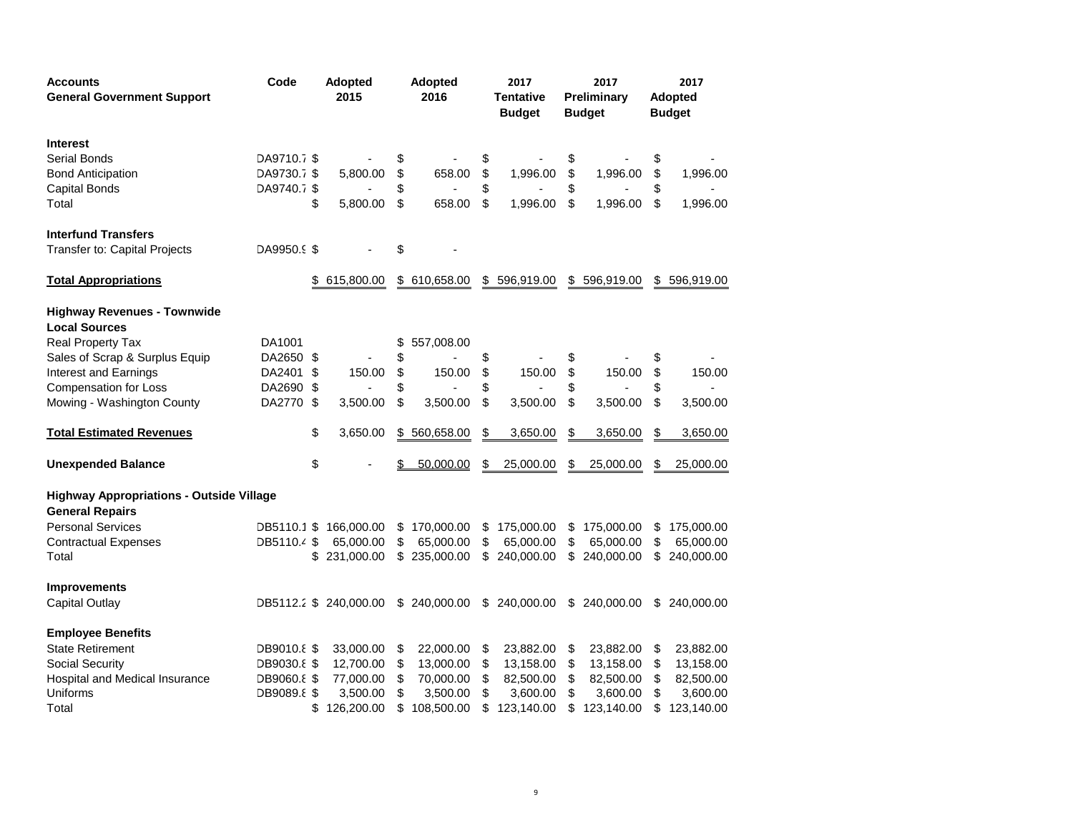| <b>Accounts</b><br><b>General Government Support</b>                      | Code        | 2015 |                        | <b>Adopted</b><br><b>Adopted</b><br>2016 |               | 2017<br><b>Tentative</b><br><b>Budget</b> |              |    | 2017<br>Preliminary<br><b>Budget</b> | 2017<br><b>Adopted</b><br><b>Budget</b> |              |
|---------------------------------------------------------------------------|-------------|------|------------------------|------------------------------------------|---------------|-------------------------------------------|--------------|----|--------------------------------------|-----------------------------------------|--------------|
| <b>Interest</b>                                                           |             |      |                        |                                          |               |                                           |              |    |                                      |                                         |              |
| Serial Bonds                                                              | DA9710.7 \$ |      |                        | \$                                       |               | \$                                        |              |    |                                      | \$                                      |              |
| <b>Bond Anticipation</b>                                                  | DA9730.7 \$ |      | 5,800.00               | \$                                       | 658.00        | \$                                        | 1,996.00     | \$ | 1,996.00                             | \$                                      | 1,996.00     |
| <b>Capital Bonds</b>                                                      | DA9740.7 \$ |      |                        | \$                                       |               | \$                                        |              |    |                                      | \$                                      |              |
| Total                                                                     |             | \$   | 5,800.00               | \$                                       | 658.00        | \$                                        | 1,996.00     | \$ | 1,996.00                             | \$                                      | 1,996.00     |
| <b>Interfund Transfers</b>                                                |             |      |                        |                                          |               |                                           |              |    |                                      |                                         |              |
| Transfer to: Capital Projects                                             | DA9950.9 \$ |      |                        | \$                                       |               |                                           |              |    |                                      |                                         |              |
| <b>Total Appropriations</b>                                               |             | \$   | 615,800.00             |                                          | \$ 610,658.00 |                                           | \$596,919.00 | \$ | 596,919.00                           |                                         | \$596,919.00 |
| <b>Highway Revenues - Townwide</b><br><b>Local Sources</b>                |             |      |                        |                                          |               |                                           |              |    |                                      |                                         |              |
| Real Property Tax                                                         | DA1001      |      |                        | \$                                       | 557,008.00    |                                           |              |    |                                      |                                         |              |
| Sales of Scrap & Surplus Equip                                            | DA2650      | -S   |                        | \$                                       |               | \$                                        |              | \$ |                                      | \$                                      |              |
| Interest and Earnings                                                     | DA2401      | \$   | 150.00                 | \$                                       | 150.00        | \$                                        | 150.00       | \$ | 150.00                               | \$                                      | 150.00       |
| <b>Compensation for Loss</b>                                              | DA2690      | \$   |                        | \$                                       |               | \$                                        |              | \$ |                                      | \$                                      |              |
| Mowing - Washington County                                                | DA2770      | \$   | 3,500.00               | \$                                       | 3,500.00      | \$                                        | 3,500.00     | \$ | 3,500.00                             | \$                                      | 3,500.00     |
| <b>Total Estimated Revenues</b>                                           |             | \$   | 3,650.00               | S                                        | 560,658.00    | \$                                        | 3,650.00     | S  | 3,650.00                             | S                                       | 3,650.00     |
| <b>Unexpended Balance</b>                                                 |             | \$   |                        |                                          | 50,000.00     | \$                                        | 25,000.00    | \$ | 25,000.00                            | \$                                      | 25,000.00    |
| <b>Highway Appropriations - Outside Village</b><br><b>General Repairs</b> |             |      |                        |                                          |               |                                           |              |    |                                      |                                         |              |
| <b>Personal Services</b>                                                  | DB5110.1 \$ |      | 166,000.00             | \$                                       | 170,000.00    | \$                                        | 175,000.00   | \$ | 175,000.00                           | \$                                      | 175,000.00   |
| <b>Contractual Expenses</b>                                               | DB5110.4 \$ |      | 65,000.00              | \$                                       | 65,000.00     | \$                                        | 65,000.00    | \$ | 65,000.00                            | \$                                      | 65,000.00    |
| Total                                                                     |             | \$.  | 231,000.00             | \$                                       | 235,000.00    | \$                                        | 240,000.00   | \$ | 240,000.00                           | \$                                      | 240,000.00   |
| <b>Improvements</b>                                                       |             |      |                        |                                          |               |                                           |              |    |                                      |                                         |              |
| <b>Capital Outlay</b>                                                     |             |      | DB5112.2 \$ 240,000.00 |                                          | \$ 240,000.00 |                                           | \$240,000.00 | \$ | 240,000.00                           | \$                                      | 240,000.00   |
| <b>Employee Benefits</b>                                                  |             |      |                        |                                          |               |                                           |              |    |                                      |                                         |              |
| <b>State Retirement</b>                                                   | DB9010.8 \$ |      | 33,000.00              | \$                                       | 22,000.00     | \$                                        | 23,882.00    | \$ | 23,882.00                            | \$                                      | 23,882.00    |
| Social Security                                                           | DB9030.8 \$ |      | 12,700.00              | \$                                       | 13,000.00     | \$                                        | 13,158.00    | \$ | 13,158.00                            | \$                                      | 13,158.00    |
| Hospital and Medical Insurance                                            | DB9060.8 \$ |      | 77,000.00              | \$                                       | 70,000.00     | \$                                        | 82,500.00    | \$ | 82,500.00                            | \$                                      | 82,500.00    |
| Uniforms                                                                  | DB9089.8 \$ |      | 3,500.00               | \$                                       | 3,500.00      | \$                                        | 3,600.00     | \$ | 3,600.00                             | \$                                      | 3,600.00     |
| Total                                                                     |             | \$   | 126,200.00             |                                          | 108,500.00    | \$                                        | 123,140.00   | \$ | 123,140.00                           | \$                                      | 123,140.00   |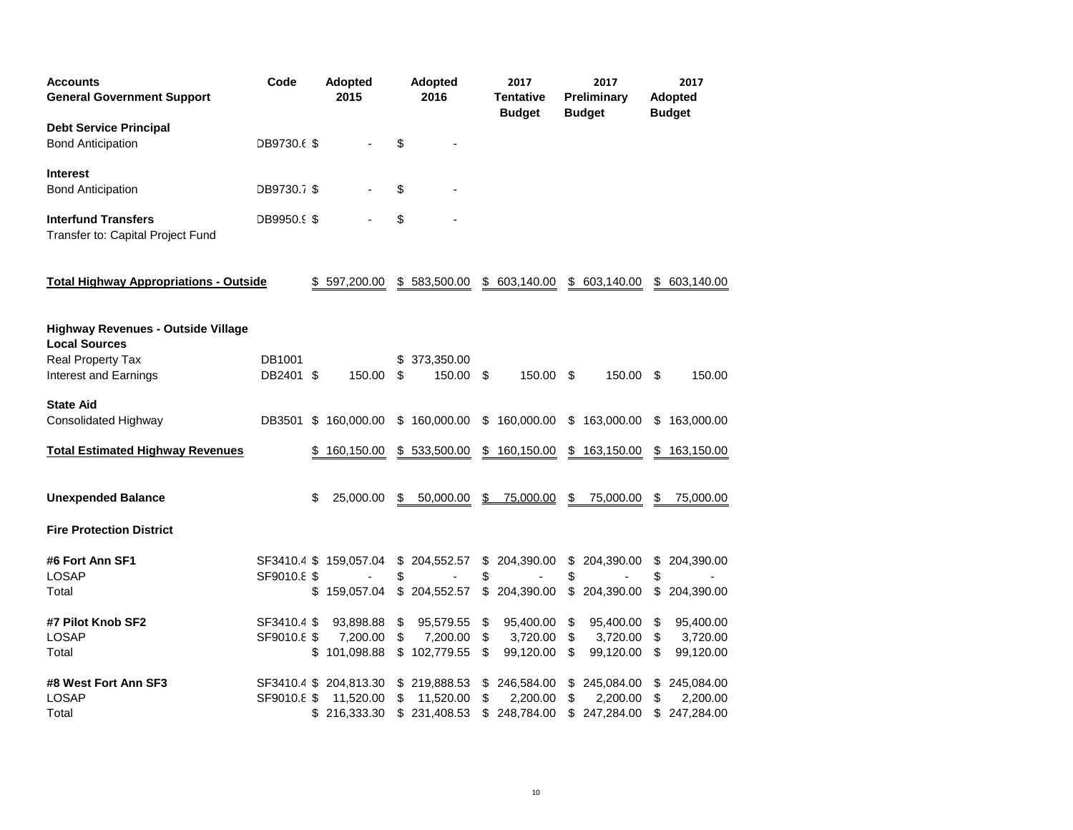| <b>Accounts</b><br><b>General Government Support</b>              | Code                | <b>Adopted</b><br>2015 |          | Adopted<br>2016      |                     | 2017<br>Tentative<br>Budget |          | 2017<br>Preliminary<br><b>Budget</b> |          | 2017<br><b>Adopted</b><br><b>Budget</b> |
|-------------------------------------------------------------------|---------------------|------------------------|----------|----------------------|---------------------|-----------------------------|----------|--------------------------------------|----------|-----------------------------------------|
| <b>Debt Service Principal</b><br><b>Bond Anticipation</b>         | DB9730.6 \$         |                        | \$       |                      |                     |                             |          |                                      |          |                                         |
| <b>Interest</b>                                                   |                     |                        |          |                      |                     |                             |          |                                      |          |                                         |
| <b>Bond Anticipation</b>                                          | DB9730.7 \$         |                        | \$       |                      |                     |                             |          |                                      |          |                                         |
| <b>Interfund Transfers</b><br>Transfer to: Capital Project Fund   | DB9950.9 \$         |                        | \$       |                      |                     |                             |          |                                      |          |                                         |
| <b>Total Highway Appropriations - Outside</b>                     |                     | \$597,200.00           |          | \$583,500.00         |                     | \$ 603,140.00               | \$       | 603,140.00                           |          | \$ 603,140.00                           |
| <b>Highway Revenues - Outside Village</b><br><b>Local Sources</b> |                     |                        |          |                      |                     |                             |          |                                      |          |                                         |
| Real Property Tax<br>Interest and Earnings                        | DB1001<br>DB2401 \$ | 150.00                 | \$<br>\$ | 373,350.00<br>150.00 | -\$                 | 150.00                      | \$.      | 150.00                               | -\$      | 150.00                                  |
| <b>State Aid</b>                                                  |                     |                        |          |                      |                     |                             |          |                                      |          |                                         |
| Consolidated Highway                                              | DB3501              | \$160,000.00           |          | \$160,000.00         |                     | \$160,000.00                | \$       | 163,000.00                           | \$       | 163,000.00                              |
| <b>Total Estimated Highway Revenues</b>                           |                     | \$<br>160,150.00       |          | \$533,500.00         | \$                  | 160,150.00                  | \$       | 163,150.00                           | \$       | 163,150.00                              |
| <b>Unexpended Balance</b>                                         |                     | \$<br>25,000.00        | S        | 50,000.00            |                     | \$75.000.00                 | \$       | 75,000.00                            | \$       | 75,000.00                               |
| <b>Fire Protection District</b>                                   |                     |                        |          |                      |                     |                             |          |                                      |          |                                         |
| #6 Fort Ann SF1                                                   |                     | SF3410.4 \$ 159,057.04 |          | \$204,552.57         | \$                  | 204,390.00                  | \$       | 204,390.00                           | \$       | 204,390.00                              |
| <b>LOSAP</b><br>Total                                             | SF9010.8 \$         | 159,057.04             | \$       | \$204,552.57         | \$<br>$\frac{1}{2}$ | 204,390.00                  | \$<br>\$ | 204,390.00                           | \$<br>\$ | 204,390.00                              |
| #7 Pilot Knob SF2                                                 | SF3410.4 \$         | 93,898.88              | \$       | 95,579.55            | \$                  | 95,400.00                   | \$       | 95,400.00                            | \$       | 95,400.00                               |
| <b>LOSAP</b>                                                      | SF9010.8 \$         | 7,200.00               | \$       | 7,200.00             | \$                  | 3,720.00                    | \$       | 3,720.00                             | \$       | 3,720.00                                |
| Total                                                             |                     | \$<br>101,098.88       |          | \$102,779.55         | \$                  | 99,120.00                   | \$       | 99,120.00                            | \$       | 99,120.00                               |
| #8 West Fort Ann SF3                                              |                     | SF3410.4 \$ 204,813.30 |          | \$219,888.53         | \$                  | 246,584.00                  | \$       | 245,084.00                           |          | \$245,084.00                            |
| LOSAP                                                             | SF9010.8 \$         | 11,520.00              | \$       | 11,520.00            | \$                  | 2,200.00                    | \$       | 2,200.00                             | \$       | 2,200.00                                |
| Total                                                             |                     | \$216,333.30           |          | \$231,408.53         | \$                  | 248,784.00                  | \$       | 247,284.00                           | \$       | 247,284.00                              |